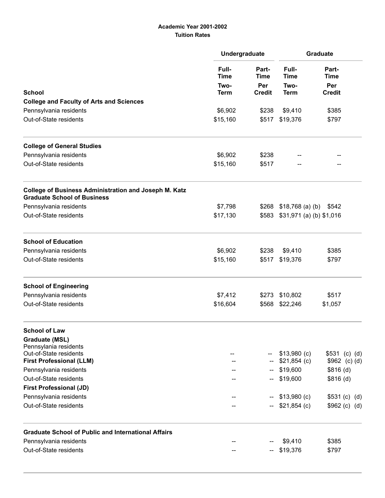## Academic Year 2001-2002 Tuition Rates

|                                                                                                    | Undergraduate                               |                                                                | <b>Graduate</b>              |                                |  |
|----------------------------------------------------------------------------------------------------|---------------------------------------------|----------------------------------------------------------------|------------------------------|--------------------------------|--|
|                                                                                                    | Full-<br><b>Time</b><br>Two-<br><b>Term</b> | Part-<br><b>Time</b><br>Per<br><b>Credit</b><br>\$238<br>\$517 | Full-<br><b>Time</b><br>Two- | Part-<br><b>Time</b><br>Per    |  |
| <b>School</b>                                                                                      |                                             |                                                                | <b>Term</b>                  | <b>Credit</b>                  |  |
| <b>College and Faculty of Arts and Sciences</b>                                                    |                                             |                                                                |                              |                                |  |
| Pennsylvania residents<br>Out-of-State residents                                                   | \$6,902<br>\$15,160                         |                                                                | \$9,410<br>\$19,376          | \$385<br>\$797                 |  |
| <b>College of General Studies</b>                                                                  |                                             |                                                                |                              |                                |  |
| Pennsylvania residents                                                                             | \$6,902                                     | \$238                                                          |                              |                                |  |
| Out-of-State residents                                                                             | \$15,160                                    | \$517                                                          |                              |                                |  |
| <b>College of Business Administration and Joseph M. Katz</b><br><b>Graduate School of Business</b> |                                             |                                                                |                              |                                |  |
| Pennsylvania residents                                                                             | \$7,798                                     | \$268                                                          | $$18,768$ (a) (b) $$542$     |                                |  |
| Out-of-State residents                                                                             | \$17,130                                    | \$583                                                          | $$31,971$ (a) (b) $$1,016$   |                                |  |
| <b>School of Education</b>                                                                         |                                             |                                                                |                              |                                |  |
| Pennsylvania residents                                                                             | \$6,902                                     | \$238                                                          | \$9,410                      | \$385                          |  |
| Out-of-State residents                                                                             | \$15,160                                    | \$517                                                          | \$19,376                     | \$797                          |  |
| <b>School of Engineering</b>                                                                       |                                             |                                                                |                              |                                |  |
| Pennsylvania residents                                                                             | \$7,412                                     | \$273                                                          | \$10,802                     | \$517                          |  |
| Out-of-State residents                                                                             | \$16,604                                    | \$568                                                          | \$22,246                     | \$1,057                        |  |
| <b>School of Law</b>                                                                               |                                             |                                                                |                              |                                |  |
| <b>Graduate (MSL)</b><br>Pennsylania residents                                                     |                                             |                                                                |                              |                                |  |
| Out-of-State residents                                                                             |                                             |                                                                | $$13,980$ (c)                | $$531$ (c) (d)                 |  |
| <b>First Professional (LLM)</b>                                                                    |                                             |                                                                | $$21,854$ (c)                | $$962$ (c) (d)                 |  |
| Pennsylvania residents                                                                             |                                             |                                                                | \$19,600                     | $$816$ (d)                     |  |
| Out-of-State residents                                                                             |                                             |                                                                | \$19,600                     | \$816(d)                       |  |
| <b>First Professional (JD)</b>                                                                     |                                             |                                                                |                              |                                |  |
| Pennsylvania residents<br>Out-of-State residents                                                   |                                             | н.                                                             | \$13,980 (c)<br>\$21,854 (c) | \$531 (c) (d)<br>\$962 (c) (d) |  |
| <b>Graduate School of Public and International Affairs</b>                                         |                                             |                                                                |                              |                                |  |
| Pennsylvania residents                                                                             |                                             |                                                                | \$9,410                      | \$385                          |  |
| Out-of-State residents                                                                             |                                             |                                                                | \$19,376                     | \$797                          |  |
|                                                                                                    |                                             |                                                                |                              |                                |  |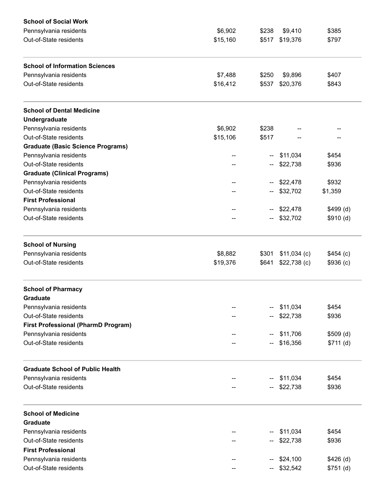| <b>School of Social Work</b>               |          |       |               |            |
|--------------------------------------------|----------|-------|---------------|------------|
| Pennsylvania residents                     | \$6,902  | \$238 | \$9,410       | \$385      |
| Out-of-State residents                     | \$15,160 | \$517 | \$19,376      | \$797      |
| <b>School of Information Sciences</b>      |          |       |               |            |
| Pennsylvania residents                     | \$7,488  | \$250 | \$9,896       | \$407      |
| Out-of-State residents                     | \$16,412 | \$537 | \$20,376      | \$843      |
| <b>School of Dental Medicine</b>           |          |       |               |            |
| Undergraduate                              |          |       |               |            |
| Pennsylvania residents                     | \$6,902  | \$238 |               |            |
| Out-of-State residents                     | \$15,106 | \$517 |               |            |
| <b>Graduate (Basic Science Programs)</b>   |          |       |               |            |
| Pennsylvania residents                     |          | --    | \$11,034      | \$454      |
| Out-of-State residents                     |          | −−    | \$22,738      | \$936      |
| <b>Graduate (Clinical Programs)</b>        |          |       |               |            |
| Pennsylvania residents                     |          | --    | \$22,478      | \$932      |
| Out-of-State residents                     | --       |       | \$32,702      | \$1,359    |
| <b>First Professional</b>                  |          |       |               |            |
| Pennsylvania residents                     |          |       | \$22,478      | \$499(d)   |
| Out-of-State residents                     |          |       | \$32,702      | \$910(d)   |
| <b>School of Nursing</b>                   |          |       |               |            |
| Pennsylvania residents                     | \$8,882  | \$301 | $$11,034$ (c) | \$454(c)   |
| Out-of-State residents                     | \$19,376 | \$641 | $$22,738$ (c) | \$936(c)   |
| <b>School of Pharmacy</b>                  |          |       |               |            |
| <b>Graduate</b>                            |          |       |               |            |
| Pennsylvania residents                     |          | --    | \$11,034      | \$454      |
| Out-of-State residents                     |          |       | \$22,738      | \$936      |
| <b>First Professional (PharmD Program)</b> |          |       |               |            |
| Pennsylvania residents                     |          |       | \$11,706      | \$509(d)   |
| Out-of-State residents                     |          |       | \$16,356      | \$711(d)   |
| <b>Graduate School of Public Health</b>    |          |       |               |            |
| Pennsylvania residents                     |          |       | \$11,034      | \$454      |
| Out-of-State residents                     |          |       | \$22,738      | \$936      |
| <b>School of Medicine</b>                  |          |       |               |            |
| <b>Graduate</b>                            |          |       |               |            |
| Pennsylvania residents                     |          |       | \$11,034      | \$454      |
| Out-of-State residents                     |          |       | \$22,738      | \$936      |
| <b>First Professional</b>                  |          |       |               |            |
| Pennsylvania residents                     |          |       | \$24,100      | $$426$ (d) |
| Out-of-State residents                     | --       | --    | \$32,542      | $$751$ (d) |
|                                            |          |       |               |            |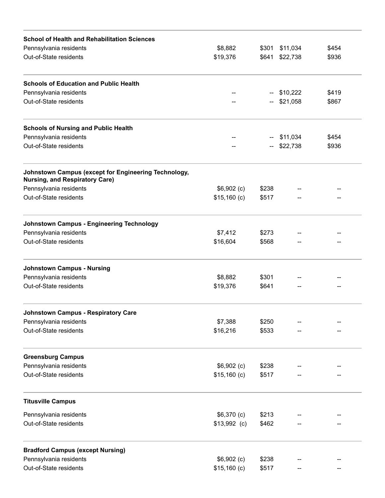| <b>School of Health and Rehabilitation Sciences</b>                                           |                     |                |                      |       |
|-----------------------------------------------------------------------------------------------|---------------------|----------------|----------------------|-------|
| Pennsylvania residents                                                                        | \$8,882<br>\$19,376 | \$301<br>\$641 | \$11,034<br>\$22,738 | \$454 |
| Out-of-State residents                                                                        |                     |                |                      | \$936 |
| <b>Schools of Education and Public Health</b>                                                 |                     |                |                      |       |
| Pennsylvania residents                                                                        |                     | --             | \$10,222             | \$419 |
| Out-of-State residents                                                                        |                     | $-$            | \$21,058             | \$867 |
| <b>Schools of Nursing and Public Health</b>                                                   |                     |                |                      |       |
| Pennsylvania residents                                                                        |                     |                | \$11,034             | \$454 |
| Out-of-State residents                                                                        |                     |                | \$22,738             | \$936 |
| Johnstown Campus (except for Engineering Technology,<br><b>Nursing, and Respiratory Care)</b> |                     |                |                      |       |
| Pennsylvania residents                                                                        | $$6,902$ (c)        | \$238          |                      |       |
| Out-of-State residents                                                                        | $$15,160$ (c)       | \$517          |                      |       |
| <b>Johnstown Campus - Engineering Technology</b>                                              |                     |                |                      |       |
| Pennsylvania residents                                                                        | \$7,412             | \$273          |                      |       |
| Out-of-State residents                                                                        | \$16,604            | \$568          |                      |       |
| <b>Johnstown Campus - Nursing</b>                                                             |                     |                |                      |       |
| Pennsylvania residents                                                                        | \$8,882             | \$301          |                      |       |
| Out-of-State residents                                                                        | \$19,376            | \$641          |                      |       |
| <b>Johnstown Campus - Respiratory Care</b>                                                    |                     |                |                      |       |
| Pennsylvania residents                                                                        | \$7,388             | \$250          |                      |       |
| Out-of-State residents                                                                        | \$16,216            | \$533          |                      |       |
| <b>Greensburg Campus</b>                                                                      |                     |                |                      |       |
| Pennsylvania residents                                                                        | $$6,902$ (c)        | \$238          |                      |       |
| Out-of-State residents                                                                        | $$15,160$ (c)       | \$517          |                      |       |
| <b>Titusville Campus</b>                                                                      |                     |                |                      |       |
| Pennsylvania residents                                                                        | $$6,370$ (c)        | \$213          |                      |       |
| Out-of-State residents                                                                        | $$13,992$ (c)       | \$462          |                      |       |
| <b>Bradford Campus (except Nursing)</b>                                                       |                     |                |                      |       |
| Pennsylvania residents                                                                        | $$6,902$ (c)        | \$238          |                      |       |
| Out-of-State residents                                                                        | $$15,160$ (c)       | \$517          |                      |       |